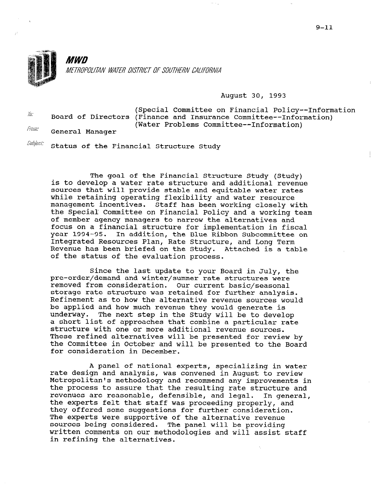

## August 30, 1993

| 10.7  |                 | (Special Committee on Financial Policy--Information<br>Board of Directors (Finance and Insurance Committee--Information) |
|-------|-----------------|--------------------------------------------------------------------------------------------------------------------------|
| From: | General Manager | (Water Problems Committee--Information)                                                                                  |

 $\emph{Subject}:$  Status of the Financial Structure Study

The goal of the Financial Structure Study (Study) is to develop a water rate structure and additional revenue sources that will provide stable and equitable water rates while retaining operating flexibility and water resource management incentives. Staff has been working closely with the Special Committee on Financial Policy and a working team of member agency managers to narrow the alternatives and focus on a financial structure for implementation in fiscal year 1994-95. In addition, the Blue Ribbon Subcommittee on Integrated Resources Plan, Rate Structure, and Long Term Revenue has been briefed on the Study. Attached is a table of the status of the evaluation process.

Since the last update to your Board in July, the pre-order/demand and winter/summer rate structures were removed from consideration. Our current basic/seasonal storage rate structure was retained for further analysis. Refinement as to how the alternative revenue sources would be applied and how much revenue they would generate is underway. The next step in the Study will be to develop a short list of approaches that combine a particular rate structure with one or more additional revenue sources. These refined alternatives will be presented for review by the Committee in October and will be presented to the Board for consideration in December.

A panel of national experts, specializing in water rate design and analysis, was convened in August to review Metropolitan's methodology and recommend any improvements in the process to assure that the resulting rate structure and revenues are reasonable, defensible, and legal. In general, the experts felt that staff was proceeding properly, and they offered some suggestions for further consideration. The experts were supportive of the alternative revenue sources being considered. The panel will be providing written comments on our methodologies and will assist staff in refining the alternatives.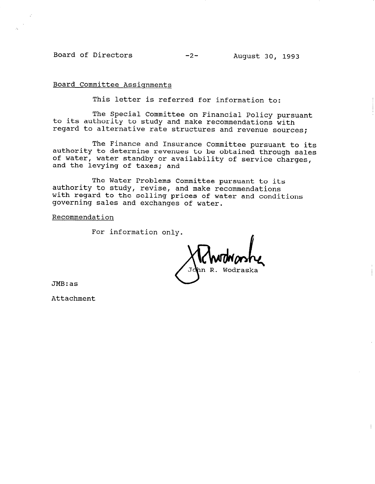Board of Directors -2- August 30, 1993

Board Committee Assignments

This letter is referred for information to:

The Special Committee on Financial Policy pursuant to its authority to study and make recommendations with regard to alternative rate structures and revenue sources;

The Finance and Insurance Committee pursuant to its authority to determine revenues to be obtained through sales of water, water standby or availability of service charges, and the levying of taxes; and

The Water Problems Committee pursuant to its authority to study, revise, and make recommendations with regard to the selling prices of water and conditions governing sales and exchanges of water.

Recommendation

For information only.

Wodraek

JMB:as

Attachment